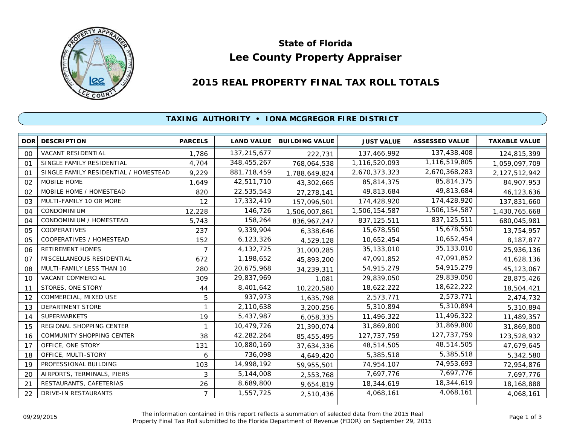

# **Lee County Property Appraiser State of Florida**

# **2015 REAL PROPERTY FINAL TAX ROLL TOTALS**

## **TAXING AUTHORITY • IONA MCGREGOR FIRE DISTRICT**

| <b>DOR</b>     | <b>DESCRIPTION</b>                    | <b>PARCELS</b> | <b>LAND VALUE</b> | <b>BUILDING VALUE</b> | <b>JUST VALUE</b> | <b>ASSESSED VALUE</b> | <b>TAXABLE VALUE</b> |
|----------------|---------------------------------------|----------------|-------------------|-----------------------|-------------------|-----------------------|----------------------|
| 00             | <b>VACANT RESIDENTIAL</b>             | 1,786          | 137,215,677       | 222,731               | 137,466,992       | 137,438,408           | 124,815,399          |
| 01             | SINGLE FAMILY RESIDENTIAL             | 4.704          | 348,455,267       | 768,064,538           | 1,116,520,093     | 1,116,519,805         | 1,059,097,709        |
| 01             | SINGLE FAMILY RESIDENTIAL / HOMESTEAD | 9,229          | 881,718,459       | 1,788,649,824         | 2,670,373,323     | 2,670,368,283         | 2,127,512,942        |
| 02             | MOBILE HOME                           | 1,649          | 42,511,710        | 43,302,665            | 85,814,375        | 85,814,375            | 84,907,953           |
| 02             | MOBILE HOME / HOMESTEAD               | 820            | 22,535,543        | 27,278,141            | 49,813,684        | 49,813,684            | 46,123,636           |
| 03             | MULTI-FAMILY 10 OR MORE               | 12             | 17,332,419        | 157,096,501           | 174,428,920       | 174,428,920           | 137,831,660          |
| O <sub>4</sub> | CONDOMINIUM                           | 12,228         | 146,726           | 1,506,007,861         | 1,506,154,587     | 1,506,154,587         | 1,430,765,668        |
| 04             | CONDOMINIUM / HOMESTEAD               | 5,743          | 158,264           | 836, 967, 247         | 837, 125, 511     | 837, 125, 511         | 680,045,981          |
| 05             | <b>COOPERATIVES</b>                   | 237            | 9,339,904         | 6,338,646             | 15,678,550        | 15,678,550            | 13,754,957           |
| 05             | COOPERATIVES / HOMESTEAD              | 152            | 6,123,326         | 4,529,128             | 10,652,454        | 10,652,454            | 8,187,877            |
| 06             | <b>RETIREMENT HOMES</b>               | 7              | 4,132,725         | 31,000,285            | 35,133,010        | 35,133,010            | 25,936,136           |
| 07             | MISCELLANEOUS RESIDENTIAL             | 672            | 1,198,652         | 45,893,200            | 47,091,852        | 47,091,852            | 41,628,136           |
| 08             | MULTI-FAMILY LESS THAN 10             | 280            | 20,675,968        | 34,239,311            | 54,915,279        | 54,915,279            | 45,123,067           |
| 10             | <b>VACANT COMMERCIAL</b>              | 309            | 29,837,969        | 1,081                 | 29,839,050        | 29,839,050            | 28,875,426           |
| 11             | STORES, ONE STORY                     | 44             | 8,401,642         | 10,220,580            | 18,622,222        | 18,622,222            | 18,504,421           |
| 12             | COMMERCIAL, MIXED USE                 | 5              | 937,973           | 1,635,798             | 2,573,771         | 2,573,771             | 2,474,732            |
| 13             | <b>DEPARTMENT STORE</b>               |                | 2,110,638         | 3,200,256             | 5,310,894         | 5,310,894             | 5,310,894            |
| 14             | <b>SUPERMARKETS</b>                   | 19             | 5,437,987         | 6,058,335             | 11,496,322        | 11,496,322            | 11,489,357           |
| 15             | REGIONAL SHOPPING CENTER              |                | 10,479,726        | 21,390,074            | 31,869,800        | 31,869,800            | 31,869,800           |
| 16             | COMMUNITY SHOPPING CENTER             | 38             | 42,282,264        | 85,455,495            | 127, 737, 759     | 127, 737, 759         | 123,528,932          |
| 17             | OFFICE, ONE STORY                     | 131            | 10,880,169        | 37,634,336            | 48,514,505        | 48,514,505            | 47,679,645           |
| 18             | OFFICE, MULTI-STORY                   | 6              | 736,098           | 4,649,420             | 5,385,518         | 5,385,518             | 5,342,580            |
| 19             | PROFESSIONAL BUILDING                 | 103            | 14,998,192        | 59,955,501            | 74,954,107        | 74,953,693            | 72,954,876           |
| 20             | AIRPORTS, TERMINALS, PIERS            | 3              | 5,144,008         | 2,553,768             | 7,697,776         | 7,697,776             | 7,697,776            |
| 21             | RESTAURANTS, CAFETERIAS               | 26             | 8,689,800         | 9,654,819             | 18,344,619        | 18,344,619            | 18,168,888           |
| 22             | DRIVE-IN RESTAURANTS                  | $\overline{7}$ | 1,557,725         | 2,510,436             | 4,068,161         | 4,068,161             | 4,068,161            |
|                |                                       |                |                   |                       |                   |                       |                      |

The information contained in this report reflects a summation of selected data from the 2015 Real Ine information contained in this report reflects a summation of selected data from the 2015 Real<br>Property Final Tax Roll submitted to the Florida Department of Revenue (FDOR) on September 29, 2015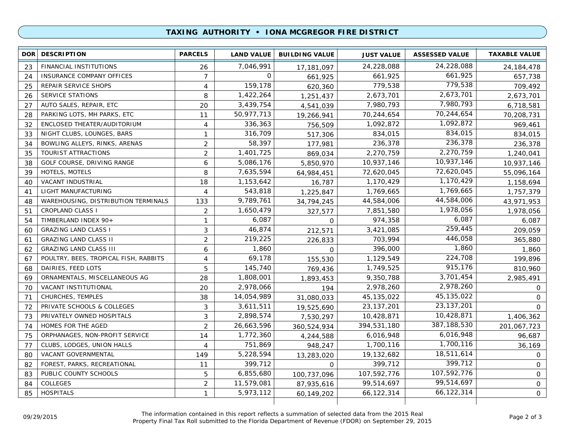### **TAXING AUTHORITY • IONA MCGREGOR FIRE DISTRICT**

| <b>DOR</b> | <b>DESCRIPTION</b>                    | <b>PARCELS</b> | <b>LAND VALUE</b> | <b>BUILDING VALUE</b> | <b>JUST VALUE</b> | <b>ASSESSED VALUE</b> | <b>TAXABLE VALUE</b> |
|------------|---------------------------------------|----------------|-------------------|-----------------------|-------------------|-----------------------|----------------------|
| 23         | FINANCIAL INSTITUTIONS                | 26             | 7,046,991         | 17,181,097            | 24,228,088        | 24,228,088            | 24,184,478           |
| 24         | INSURANCE COMPANY OFFICES             | $\overline{7}$ | $\mathbf 0$       | 661,925               | 661,925           | 661,925               | 657,738              |
| 25         | REPAIR SERVICE SHOPS                  | $\overline{4}$ | 159,178           | 620,360               | 779,538           | 779,538               | 709,492              |
| 26         | <b>SERVICE STATIONS</b>               | 8              | 1,422,264         | 1,251,437             | 2,673,701         | 2,673,701             | 2,673,701            |
| 27         | AUTO SALES, REPAIR, ETC               | 20             | 3,439,754         | 4,541,039             | 7,980,793         | 7,980,793             | 6,718,581            |
| 28         | PARKING LOTS, MH PARKS, ETC           | 11             | 50,977,713        | 19,266,941            | 70,244,654        | 70,244,654            | 70,208,731           |
| 32         | ENCLOSED THEATER/AUDITORIUM           | $\overline{4}$ | 336,363           | 756,509               | 1,092,872         | 1,092,872             | 969,461              |
| 33         | NIGHT CLUBS, LOUNGES, BARS            | $\mathbf{1}$   | 316,709           | 517,306               | 834,015           | 834,015               | 834,015              |
| 34         | BOWLING ALLEYS, RINKS, ARENAS         | $\overline{2}$ | 58,397            | 177,981               | 236,378           | 236,378               | 236,378              |
| 35         | TOURIST ATTRACTIONS                   | 2              | 1,401,725         | 869,034               | 2,270,759         | 2,270,759             | 1,240,041            |
| 38         | GOLF COURSE, DRIVING RANGE            | 6              | 5,086,176         | 5,850,970             | 10,937,146        | 10,937,146            | 10,937,146           |
| 39         | HOTELS, MOTELS                        | 8              | 7,635,594         | 64,984,451            | 72,620,045        | 72,620,045            | 55,096,164           |
| 40         | VACANT INDUSTRIAL                     | 18             | 1,153,642         | 16,787                | 1,170,429         | 1,170,429             | 1,158,694            |
| 41         | LIGHT MANUFACTURING                   | 4              | 543,818           | 1,225,847             | 1,769,665         | 1,769,665             | 1,757,379            |
| 48         | WAREHOUSING, DISTRIBUTION TERMINALS   | 133            | 9,789,761         | 34,794,245            | 44,584,006        | 44,584,006            | 43,971,953           |
| 51         | <b>CROPLAND CLASS I</b>               | 2              | 1,650,479         | 327,577               | 7,851,580         | 1,978,056             | 1,978,056            |
| 54         | TIMBERLAND INDEX 90+                  | $\mathbf{1}$   | 6,087             | 0                     | 974,358           | 6,087                 | 6,087                |
| 60         | <b>GRAZING LAND CLASS I</b>           | 3              | 46,874            | 212,571               | 3,421,085         | 259,445               | 209,059              |
| 61         | <b>GRAZING LAND CLASS II</b>          | $\overline{c}$ | 219,225           | 226,833               | 703,994           | 446,058               | 365,880              |
| 62         | <b>GRAZING LAND CLASS III</b>         | 6              | 1,860             | 0                     | 396,000           | 1,860                 | 1,860                |
| 67         | POULTRY, BEES, TROPICAL FISH, RABBITS | 4              | 69,178            | 155,530               | 1,129,549         | 224,708               | 199,896              |
| 68         | DAIRIES, FEED LOTS                    | 5              | 145,740           | 769,436               | 1,749,525         | 915,176               | 810,960              |
| 69         | ORNAMENTALS, MISCELLANEOUS AG         | 28             | 1,808,001         | 1,893,453             | 9,350,788         | 3,701,454             | 2,985,491            |
| 70         | VACANT INSTITUTIONAL                  | 20             | 2,978,066         | 194                   | 2,978,260         | 2,978,260             | 0                    |
| 71         | CHURCHES, TEMPLES                     | 38             | 14,054,989        | 31,080,033            | 45, 135, 022      | 45, 135, 022          | $\Omega$             |
| 72         | PRIVATE SCHOOLS & COLLEGES            | 3              | 3,611,511         | 19,525,690            | 23, 137, 201      | 23, 137, 201          | $\Omega$             |
| 73         | PRIVATELY OWNED HOSPITALS             | 3              | 2,898,574         | 7,530,297             | 10,428,871        | 10,428,871            | 1,406,362            |
| 74         | HOMES FOR THE AGED                    | $\overline{2}$ | 26,663,596        | 360,524,934           | 394,531,180       | 387,188,530           | 201,067,723          |
| 75         | ORPHANAGES, NON-PROFIT SERVICE        | 14             | 1,772,360         | 4,244,588             | 6,016,948         | 6,016,948             | 96,687               |
| 77         | CLUBS, LODGES, UNION HALLS            | 4              | 751,869           | 948,247               | 1,700,116         | 1,700,116             | 36,169               |
| 80         | VACANT GOVERNMENTAL                   | 149            | 5,228,594         | 13,283,020            | 19,132,682        | 18,511,614            | $\mathbf{O}$         |
| 82         | FOREST, PARKS, RECREATIONAL           | 11             | 399,712           | $\Omega$              | 399,712           | 399,712               | $\mathsf{O}$         |
| 83         | PUBLIC COUNTY SCHOOLS                 | 5              | 6,855,680         | 100,737,096           | 107,592,776       | 107,592,776           | 0                    |
| 84         | COLLEGES                              | $\overline{2}$ | 11,579,081        | 87,935,616            | 99,514,697        | 99,514,697            | 0                    |
| 85         | <b>HOSPITALS</b>                      | $\mathbf{1}$   | 5,973,112         | 60,149,202            | 66,122,314        | 66,122,314            | $\overline{O}$       |
|            |                                       |                |                   |                       |                   |                       |                      |

The information contained in this report reflects a summation of selected data from the 2015 Real Property Final Tax Roll submitted to the Florida Department of Revenue (FDOR) on September 29, 2015 09/29/2015 Page 2 of 3